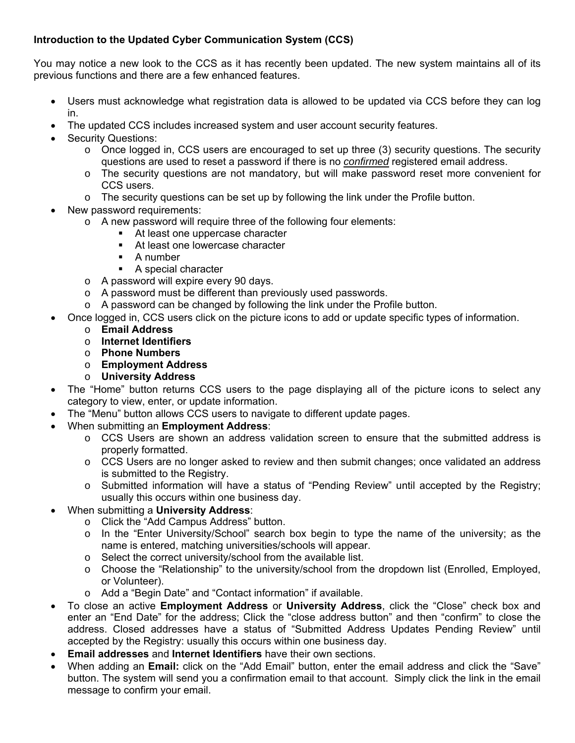## **Introduction to the Updated Cyber Communication System (CCS)**

You may notice a new look to the CCS as it has recently been updated. The new system maintains all of its previous functions and there are a few enhanced features.

- Users must acknowledge what registration data is allowed to be updated via CCS before they can log in.
- The updated CCS includes increased system and user account security features.
- Security Questions:
	- o Once logged in, CCS users are encouraged to set up three (3) security questions. The security questions are used to reset a password if there is no *confirmed* registered email address.
	- o The security questions are not mandatory, but will make password reset more convenient for CCS users.
	- $\circ$  The security questions can be set up by following the link under the Profile button.
	- New password requirements:
		- o A new password will require three of the following four elements:
			- At least one uppercase character
			- At least one lowercase character
			- **A** number
			- A special character
		- o A password will expire every 90 days.
		- o A password must be different than previously used passwords.
		- o A password can be changed by following the link under the Profile button.
- Once logged in, CCS users click on the picture icons to add or update specific types of information.
	- o **Email Address**
	- o **Internet Identifiers**
	- o **Phone Numbers**
	- o **Employment Address**
	- o **University Address**
- The "Home" button returns CCS users to the page displaying all of the picture icons to select any category to view, enter, or update information.
- The "Menu" button allows CCS users to navigate to different update pages.
- When submitting an **Employment Address**:
	- o CCS Users are shown an address validation screen to ensure that the submitted address is properly formatted.
	- $\circ$  CCS Users are no longer asked to review and then submit changes; once validated an address is submitted to the Registry.
	- o Submitted information will have a status of "Pending Review" until accepted by the Registry; usually this occurs within one business day.
- When submitting a **University Address**:
	- o Click the "Add Campus Address" button.
	- $\circ$  In the "Enter University/School" search box begin to type the name of the university; as the name is entered, matching universities/schools will appear.
	- o Select the correct university/school from the available list.
	- o Choose the "Relationship" to the university/school from the dropdown list (Enrolled, Employed, or Volunteer).
	- o Add a "Begin Date" and "Contact information" if available.
- To close an active **Employment Address** or **University Address**, click the "Close" check box and enter an "End Date" for the address; Click the "close address button" and then "confirm" to close the address. Closed addresses have a status of "Submitted Address Updates Pending Review" until accepted by the Registry: usually this occurs within one business day.
- **Email addresses** and **Internet Identifiers** have their own sections.
- When adding an **Email:** click on the "Add Email" button, enter the email address and click the "Save" button. The system will send you a confirmation email to that account. Simply click the link in the email message to confirm your email.